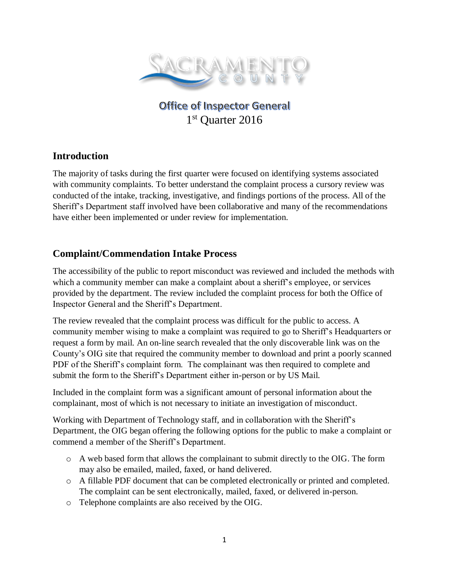

**Office of Inspector General** 1 st Quarter 2016

## **Introduction**

The majority of tasks during the first quarter were focused on identifying systems associated with community complaints. To better understand the complaint process a cursory review was conducted of the intake, tracking, investigative, and findings portions of the process. All of the Sheriff's Department staff involved have been collaborative and many of the recommendations have either been implemented or under review for implementation.

# **Complaint/Commendation Intake Process**

The accessibility of the public to report misconduct was reviewed and included the methods with which a community member can make a complaint about a sheriff's employee, or services provided by the department. The review included the complaint process for both the Office of Inspector General and the Sheriff's Department.

The review revealed that the complaint process was difficult for the public to access. A community member wising to make a complaint was required to go to Sheriff's Headquarters or request a form by mail. An on-line search revealed that the only discoverable link was on the County's OIG site that required the community member to download and print a poorly scanned PDF of the Sheriff's complaint form. The complainant was then required to complete and submit the form to the Sheriff's Department either in-person or by US Mail.

Included in the complaint form was a significant amount of personal information about the complainant, most of which is not necessary to initiate an investigation of misconduct.

Working with Department of Technology staff, and in collaboration with the Sheriff's Department, the OIG began offering the following options for the public to make a complaint or commend a member of the Sheriff's Department.

- o A web based form that allows the complainant to submit directly to the OIG. The form may also be emailed, mailed, faxed, or hand delivered.
- o A fillable PDF document that can be completed electronically or printed and completed. The complaint can be sent electronically, mailed, faxed, or delivered in-person.
- o Telephone complaints are also received by the OIG.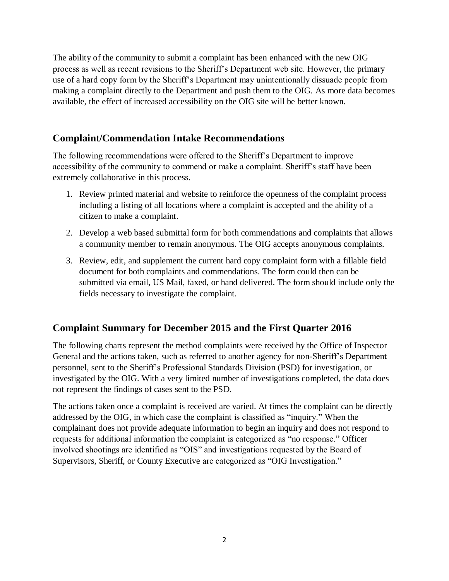The ability of the community to submit a complaint has been enhanced with the new OIG process as well as recent revisions to the Sheriff's Department web site. However, the primary use of a hard copy form by the Sheriff's Department may unintentionally dissuade people from making a complaint directly to the Department and push them to the OIG. As more data becomes available, the effect of increased accessibility on the OIG site will be better known.

## **Complaint/Commendation Intake Recommendations**

The following recommendations were offered to the Sheriff's Department to improve accessibility of the community to commend or make a complaint. Sheriff's staff have been extremely collaborative in this process.

- 1. Review printed material and website to reinforce the openness of the complaint process including a listing of all locations where a complaint is accepted and the ability of a citizen to make a complaint.
- 2. Develop a web based submittal form for both commendations and complaints that allows a community member to remain anonymous. The OIG accepts anonymous complaints.
- 3. Review, edit, and supplement the current hard copy complaint form with a fillable field document for both complaints and commendations. The form could then can be submitted via email, US Mail, faxed, or hand delivered. The form should include only the fields necessary to investigate the complaint.

## **Complaint Summary for December 2015 and the First Quarter 2016**

The following charts represent the method complaints were received by the Office of Inspector General and the actions taken, such as referred to another agency for non-Sheriff's Department personnel, sent to the Sheriff's Professional Standards Division (PSD) for investigation, or investigated by the OIG. With a very limited number of investigations completed, the data does not represent the findings of cases sent to the PSD.

The actions taken once a complaint is received are varied. At times the complaint can be directly addressed by the OIG, in which case the complaint is classified as "inquiry." When the complainant does not provide adequate information to begin an inquiry and does not respond to requests for additional information the complaint is categorized as "no response." Officer involved shootings are identified as "OIS" and investigations requested by the Board of Supervisors, Sheriff, or County Executive are categorized as "OIG Investigation."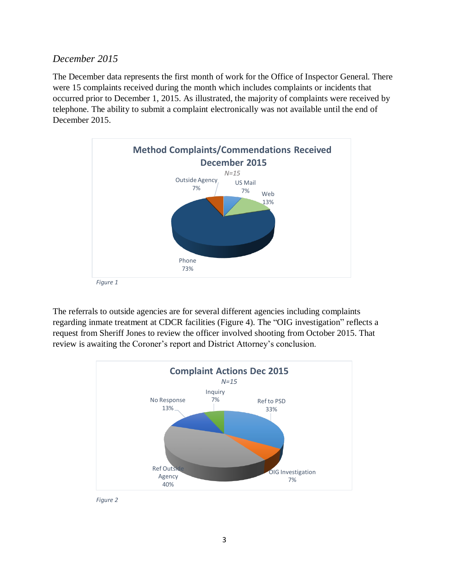#### *December 2015*

The December data represents the first month of work for the Office of Inspector General. There were 15 complaints received during the month which includes complaints or incidents that occurred prior to December 1, 2015. As illustrated, the majority of complaints were received by telephone. The ability to submit a complaint electronically was not available until the end of December 2015.



The referrals to outside agencies are for several different agencies including complaints regarding inmate treatment at CDCR facilities (Figure 4). The "OIG investigation" reflects a request from Sheriff Jones to review the officer involved shooting from October 2015. That review is awaiting the Coroner's report and District Attorney's conclusion.



*Figure 2*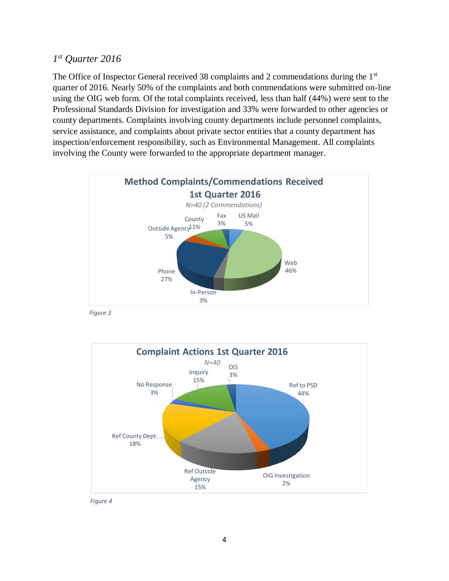#### *1 st Quarter 2016*

The Office of Inspector General received 38 complaints and 2 commendations during the  $1<sup>st</sup>$ quarter of 2016. Nearly 50% of the complaints and both commendations were submitted on-line using the OIG web form. Of the total complaints received, less than half (44%) were sent to the Professional Standards Division for investigation and 33% were forwarded to other agencies or county departments. Complaints involving county departments include personnel complaints, service assistance, and complaints about private sector entities that a county department has inspection/enforcement responsibility, such as Environmental Management. All complaints involving the County were forwarded to the appropriate department manager.



*Figure 3*



*Figure 4*